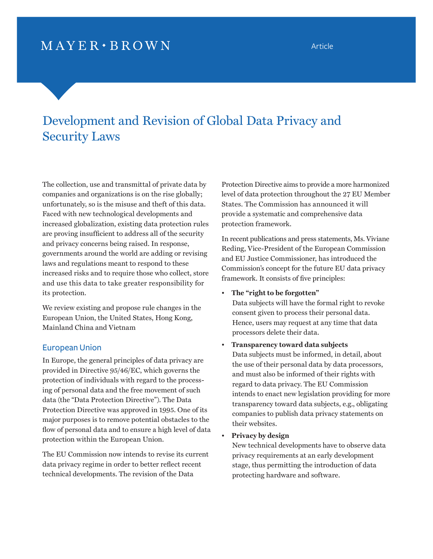## $MAYER \cdot BROWN$

# Development and Revision of Global Data Privacy and Security Laws

The collection, use and transmittal of private data by companies and organizations is on the rise globally; unfortunately, so is the misuse and theft of this data. Faced with new technological developments and increased globalization, existing data protection rules are proving insufficient to address all of the security and privacy concerns being raised. In response, governments around the world are adding or revising laws and regulations meant to respond to these increased risks and to require those who collect, store and use this data to take greater responsibility for its protection.

We review existing and propose rule changes in the European Union, the United States, Hong Kong, Mainland China and Vietnam

## European Union

In Europe, the general principles of data privacy are provided in Directive 95/46/EC, which governs the protection of individuals with regard to the processing of personal data and the free movement of such data (the "Data Protection Directive"). The Data Protection Directive was approved in 1995. One of its major purposes is to remove potential obstacles to the flow of personal data and to ensure a high level of data protection within the European Union.

The EU Commission now intends to revise its current data privacy regime in order to better reflect recent technical developments. The revision of the Data

Protection Directive aims to provide a more harmonized level of data protection throughout the 27 EU Member States. The Commission has announced it will provide a systematic and comprehensive data protection framework.

In recent publications and press statements, Ms. Viviane Reding, Vice-President of the European Commission and EU Justice Commissioner, has introduced the Commission's concept for the future EU data privacy framework. It consists of five principles:

### • **The "right to be forgotten"**

Data subjects will have the formal right to revoke consent given to process their personal data. Hence, users may request at any time that data processors delete their data.

#### • **Transparency toward data subjects**

Data subjects must be informed, in detail, about the use of their personal data by data processors, and must also be informed of their rights with regard to data privacy. The EU Commission intends to enact new legislation providing for more transparency toward data subjects, e.g., obligating companies to publish data privacy statements on their websites.

#### • **Privacy by design**

New technical developments have to observe data privacy requirements at an early development stage, thus permitting the introduction of data protecting hardware and software.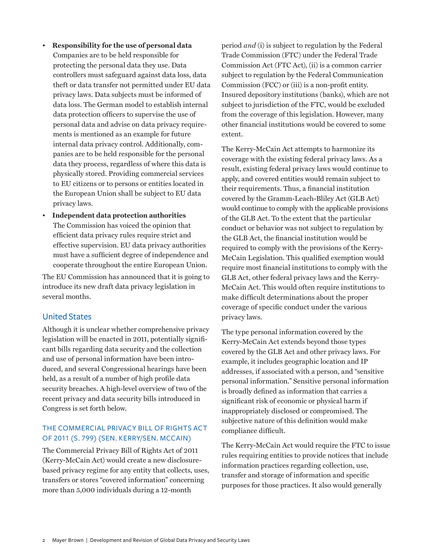- **Responsibility for the use of personal data** Companies are to be held responsible for protecting the personal data they use. Data controllers must safeguard against data loss, data theft or data transfer not permitted under EU data privacy laws. Data subjects must be informed of data loss. The German model to establish internal data protection officers to supervise the use of personal data and advise on data privacy requirements is mentioned as an example for future internal data privacy control. Additionally, companies are to be held responsible for the personal data they process, regardless of where this data is physically stored. Providing commercial services to EU citizens or to persons or entities located in the European Union shall be subject to EU data privacy laws.
- **Independent data protection authorities** The Commission has voiced the opinion that efficient data privacy rules require strict and effective supervision. EU data privacy authorities must have a sufficient degree of independence and cooperate throughout the entire European Union.

The EU Commission has announced that it is going to introduce its new draft data privacy legislation in several months.

## United States

Although it is unclear whether comprehensive privacy legislation will be enacted in 2011, potentially significant bills regarding data security and the collection and use of personal information have been introduced, and several Congressional hearings have been held, as a result of a number of high profile data security breaches. A high-level overview of two of the recent privacy and data security bills introduced in Congress is set forth below.

## The Commercial Privacy Bill of Rights Act of 2011 (S. 799) (Sen. Kerry/Sen. McCain)

The Commercial Privacy Bill of Rights Act of 2011 (Kerry-McCain Act) would create a new disclosurebased privacy regime for any entity that collects, uses, transfers or stores "covered information" concerning more than 5,000 individuals during a 12-month

period *and* (i) is subject to regulation by the Federal Trade Commission (FTC) under the Federal Trade Commission Act (FTC Act), (ii) is a common carrier subject to regulation by the Federal Communication Commission (FCC) or (iii) is a non-profit entity. Insured depository institutions (banks), which are not subject to jurisdiction of the FTC, would be excluded from the coverage of this legislation. However, many other financial institutions would be covered to some extent.

The Kerry-McCain Act attempts to harmonize its coverage with the existing federal privacy laws. As a result, existing federal privacy laws would continue to apply, and covered entities would remain subject to their requirements. Thus, a financial institution covered by the Gramm-Leach-Bliley Act (GLB Act) would continue to comply with the applicable provisions of the GLB Act. To the extent that the particular conduct or behavior was not subject to regulation by the GLB Act, the financial institution would be required to comply with the provisions of the Kerry-McCain Legislation. This qualified exemption would require most financial institutions to comply with the GLB Act, other federal privacy laws and the Kerry-McCain Act. This would often require institutions to make difficult determinations about the proper coverage of specific conduct under the various privacy laws.

The type personal information covered by the Kerry-McCain Act extends beyond those types covered by the GLB Act and other privacy laws. For example, it includes geographic location and IP addresses, if associated with a person, and "sensitive personal information." Sensitive personal information is broadly defined as information that carries a significant risk of economic or physical harm if inappropriately disclosed or compromised. The subjective nature of this definition would make compliance difficult.

The Kerry-McCain Act would require the FTC to issue rules requiring entities to provide notices that include information practices regarding collection, use, transfer and storage of information and specific purposes for those practices. It also would generally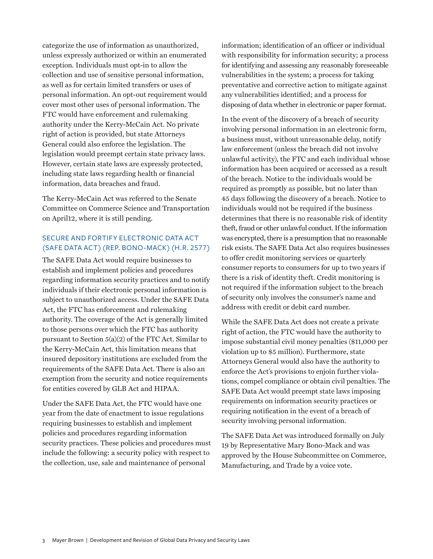categorize the use of information as unauthorized, unless expressly authorized or within an enumerated exception. Individuals must opt-in to allow the collection and use of sensitive personal information, as well as for certain limited transfers or uses of personal information. An opt-out requirement would cover most other uses of personal information. The FTC would have enforcement and rulemaking authority under the Kerry-McCain Act. No private right of action is provided, but state Attorneys General could also enforce the legislation. The legislation would preempt certain state privacy laws. However, certain state laws are expressly protected, including state laws regarding health or financial information, data breaches and fraud.

The Kerry-McCain Act was referred to the Senate Committee on Commerce Science and Transportation on April12, where it is still pending.

## Secure and Fortify Electronic Data Act (SAFE DATA ACT) (REP. BONO-MACK) (H.R. 2577)

The SAFE Data Act would require businesses to establish and implement policies and procedures regarding information security practices and to notify individuals if their electronic personal information is subject to unauthorized access. Under the SAFE Data Act, the FTC has enforcement and rulemaking authority. The coverage of the Act is generally limited to those persons over which the FTC has authority pursuant to Section 5(a)(2) of the FTC Act. Similar to the Kerry-McCain Act, this limitation means that insured depository institutions are excluded from the requirements of the SAFE Data Act. There is also an exemption from the security and notice requirements for entities covered by GLB Act and HIPAA.

Under the SAFE Data Act, the FTC would have one year from the date of enactment to issue regulations requiring businesses to establish and implement policies and procedures regarding information security practices. These policies and procedures must include the following: a security policy with respect to the collection, use, sale and maintenance of personal

information; identification of an officer or individual with responsibility for information security; a process for identifying and assessing any reasonably foreseeable vulnerabilities in the system; a process for taking preventative and corrective action to mitigate against any vulnerabilities identified; and a process for disposing of data whether in electronic or paper format.

In the event of the discovery of a breach of security involving personal information in an electronic form, a business must, without unreasonable delay, notify law enforcement (unless the breach did not involve unlawful activity), the FTC and each individual whose information has been acquired or accessed as a result of the breach. Notice to the individuals would be required as promptly as possible, but no later than 45 days following the discovery of a breach. Notice to individuals would not be required if the business determines that there is no reasonable risk of identity theft, fraud or other unlawful conduct. If the information was encrypted, there is a presumption that no reasonable risk exists. The SAFE Data Act also requires businesses to offer credit monitoring services or quarterly consumer reports to consumers for up to two years if there is a risk of identity theft. Credit monitoring is not required if the information subject to the breach of security only involves the consumer's name and address with credit or debit card number.

While the SAFE Data Act does not create a private right of action, the FTC would have the authority to impose substantial civil money penalties (\$11,000 per violation up to \$5 million). Furthermore, state Attorneys General would also have the authority to enforce the Act's provisions to enjoin further violations, compel compliance or obtain civil penalties. The SAFE Data Act would preempt state laws imposing requirements on information security practices or requiring notification in the event of a breach of security involving personal information.

The SAFE Data Act was introduced formally on July 19 by Representative Mary Bono-Mack and was approved by the House Subcommittee on Commerce, Manufacturing, and Trade by a voice vote.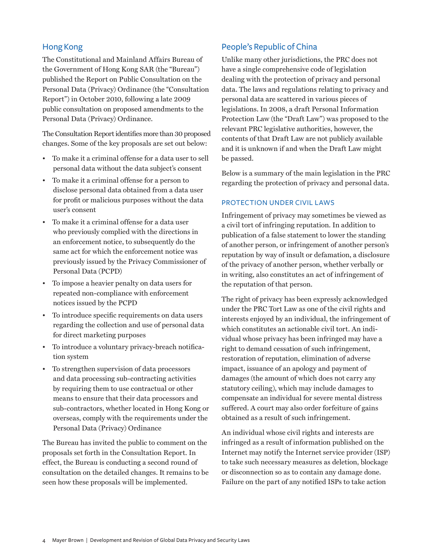## Hong Kong

The Constitutional and Mainland Affairs Bureau of the Government of Hong Kong SAR (the "Bureau") published the Report on Public Consultation on the Personal Data (Privacy) Ordinance (the "Consultation Report") in October 2010, following a late 2009 public consultation on proposed amendments to the Personal Data (Privacy) Ordinance.

The Consultation Report identifies more than 30 proposed changes. Some of the key proposals are set out below:

- To make it a criminal offense for a data user to sell personal data without the data subject's consent
- To make it a criminal offense for a person to disclose personal data obtained from a data user for profit or malicious purposes without the data user's consent
- To make it a criminal offense for a data user who previously complied with the directions in an enforcement notice, to subsequently do the same act for which the enforcement notice was previously issued by the Privacy Commissioner of Personal Data (PCPD)
- To impose a heavier penalty on data users for repeated non-compliance with enforcement notices issued by the PCPD
- To introduce specific requirements on data users regarding the collection and use of personal data for direct marketing purposes
- To introduce a voluntary privacy-breach notification system
- To strengthen supervision of data processors and data processing sub-contracting activities by requiring them to use contractual or other means to ensure that their data processors and sub-contractors, whether located in Hong Kong or overseas, comply with the requirements under the Personal Data (Privacy) Ordinance

The Bureau has invited the public to comment on the proposals set forth in the Consultation Report. In effect, the Bureau is conducting a second round of consultation on the detailed changes. It remains to be seen how these proposals will be implemented.

## People's Republic of China

Unlike many other jurisdictions, the PRC does not have a single comprehensive code of legislation dealing with the protection of privacy and personal data. The laws and regulations relating to privacy and personal data are scattered in various pieces of legislations. In 2008, a draft Personal Information Protection Law (the "Draft Law") was proposed to the relevant PRC legislative authorities, however, the contents of that Draft Law are not publicly available and it is unknown if and when the Draft Law might be passed.

Below is a summary of the main legislation in the PRC regarding the protection of privacy and personal data.

## Protection under Civil Laws

Infringement of privacy may sometimes be viewed as a civil tort of infringing reputation. In addition to publication of a false statement to lower the standing of another person, or infringement of another person's reputation by way of insult or defamation, a disclosure of the privacy of another person, whether verbally or in writing, also constitutes an act of infringement of the reputation of that person.

The right of privacy has been expressly acknowledged under the PRC Tort Law as one of the civil rights and interests enjoyed by an individual, the infringement of which constitutes an actionable civil tort. An individual whose privacy has been infringed may have a right to demand cessation of such infringement, restoration of reputation, elimination of adverse impact, issuance of an apology and payment of damages (the amount of which does not carry any statutory ceiling), which may include damages to compensate an individual for severe mental distress suffered. A court may also order forfeiture of gains obtained as a result of such infringement.

An individual whose civil rights and interests are infringed as a result of information published on the Internet may notify the Internet service provider (ISP) to take such necessary measures as deletion, blockage or disconnection so as to contain any damage done. Failure on the part of any notified ISPs to take action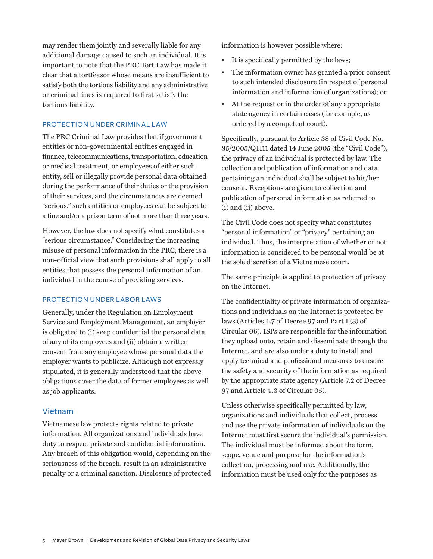may render them jointly and severally liable for any additional damage caused to such an individual. It is important to note that the PRC Tort Law has made it clear that a tortfeasor whose means are insufficient to satisfy both the tortious liability and any administrative or criminal fines is required to first satisfy the tortious liability.

#### Protection under Criminal Law

The PRC Criminal Law provides that if government entities or non-governmental entities engaged in finance, telecommunications, transportation, education or medical treatment, or employees of either such entity, sell or illegally provide personal data obtained during the performance of their duties or the provision of their services, and the circumstances are deemed "serious," such entities or employees can be subject to a fine and/or a prison term of not more than three years.

However, the law does not specify what constitutes a "serious circumstance." Considering the increasing misuse of personal information in the PRC, there is a non-official view that such provisions shall apply to all entities that possess the personal information of an individual in the course of providing services.

#### Protection under Labor Laws

Generally, under the Regulation on Employment Service and Employment Management, an employer is obligated to (i) keep confidential the personal data of any of its employees and (ii) obtain a written consent from any employee whose personal data the employer wants to publicize. Although not expressly stipulated, it is generally understood that the above obligations cover the data of former employees as well as job applicants.

## Vietnam

Vietnamese law protects rights related to private information. All organizations and individuals have duty to respect private and confidential information. Any breach of this obligation would, depending on the seriousness of the breach, result in an administrative penalty or a criminal sanction. Disclosure of protected information is however possible where:

- It is specifically permitted by the laws;
- The information owner has granted a prior consent to such intended disclosure (in respect of personal information and information of organizations); or
- At the request or in the order of any appropriate state agency in certain cases (for example, as ordered by a competent court).

Specifically, pursuant to Article 38 of Civil Code No. 35/2005/QH11 dated 14 June 2005 (the "Civil Code"), the privacy of an individual is protected by law. The collection and publication of information and data pertaining an individual shall be subject to his/her consent. Exceptions are given to collection and publication of personal information as referred to (i) and (ii) above.

The Civil Code does not specify what constitutes "personal information" or "privacy" pertaining an individual. Thus, the interpretation of whether or not information is considered to be personal would be at the sole discretion of a Vietnamese court.

The same principle is applied to protection of privacy on the Internet.

The confidentiality of private information of organizations and individuals on the Internet is protected by laws (Articles 4.7 of Decree 97 and Part I (3) of Circular 06). ISPs are responsible for the information they upload onto, retain and disseminate through the Internet, and are also under a duty to install and apply technical and professional measures to ensure the safety and security of the information as required by the appropriate state agency (Article 7.2 of Decree 97 and Article 4.3 of Circular 05).

Unless otherwise specifically permitted by law, organizations and individuals that collect, process and use the private information of individuals on the Internet must first secure the individual's permission. The individual must be informed about the form, scope, venue and purpose for the information's collection, processing and use. Additionally, the information must be used only for the purposes as